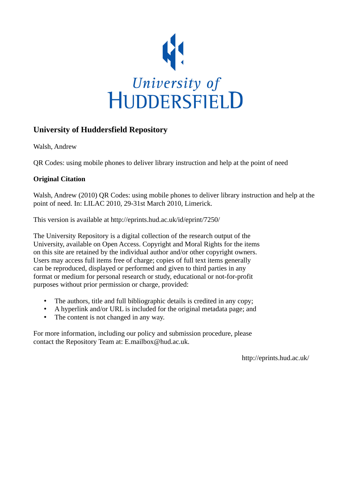

## **University of Huddersfield Repository**

Walsh, Andrew

QR Codes: using mobile phones to deliver library instruction and help at the point of need

## **Original Citation**

Walsh, Andrew (2010) QR Codes: using mobile phones to deliver library instruction and help at the point of need. In: LILAC 2010, 29-31st March 2010, Limerick.

This version is available at http://eprints.hud.ac.uk/id/eprint/7250/

The University Repository is a digital collection of the research output of the University, available on Open Access. Copyright and Moral Rights for the items on this site are retained by the individual author and/or other copyright owners. Users may access full items free of charge; copies of full text items generally can be reproduced, displayed or performed and given to third parties in any format or medium for personal research or study, educational or not-for-profit purposes without prior permission or charge, provided:

- The authors, title and full bibliographic details is credited in any copy;
- A hyperlink and/or URL is included for the original metadata page; and
- The content is not changed in any way.

For more information, including our policy and submission procedure, please contact the Repository Team at: E.mailbox@hud.ac.uk.

http://eprints.hud.ac.uk/